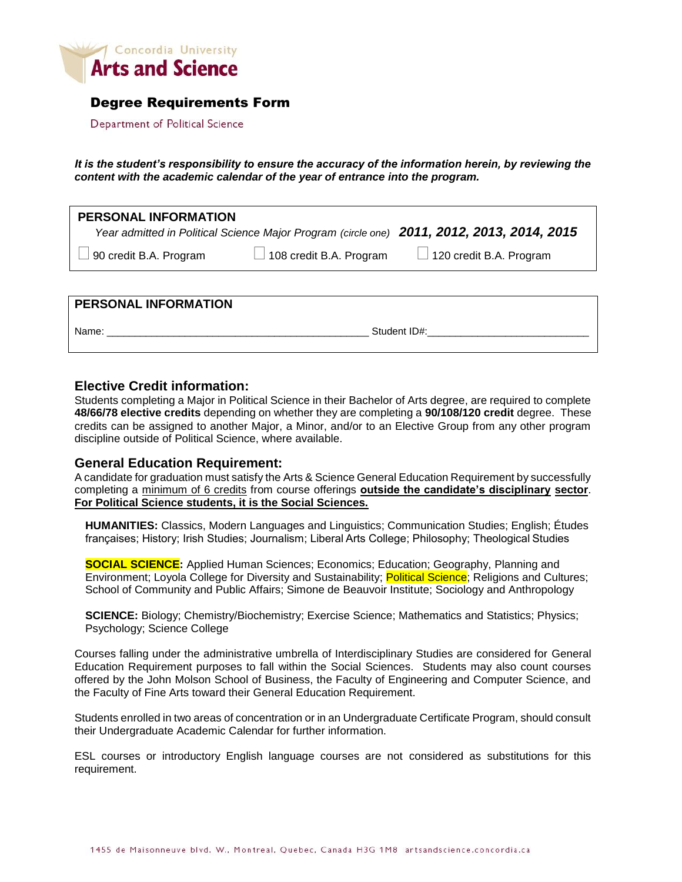

## Degree Requirements Form

Department of Political Science

*It is the student's responsibility to ensure the accuracy of the information herein, by reviewing the content with the academic calendar of the year of entrance into the program.*

| <b>PERSONAL INFORMATION</b> |                                | Year admitted in Political Science Major Program (circle one) 2011, 2012, 2013, 2014, 2015 |
|-----------------------------|--------------------------------|--------------------------------------------------------------------------------------------|
| 90 credit B.A. Program      | $\Box$ 108 credit B.A. Program | $\Box$ 120 credit B.A. Program                                                             |
|                             |                                |                                                                                            |

#### **PERSONAL INFORMATION**

Name: \_\_\_\_\_\_\_\_\_\_\_\_\_\_\_\_\_\_\_\_\_\_\_\_\_\_\_\_\_\_\_\_\_\_\_\_\_\_\_\_\_\_\_\_\_\_\_ Student ID#:\_\_\_\_\_\_\_\_\_\_\_\_\_\_\_\_\_\_\_\_\_\_\_\_\_\_\_\_\_

### **Elective Credit information:**

Students completing a Major in Political Science in their Bachelor of Arts degree, are required to complete **48/66/78 elective credits** depending on whether they are completing a **90/108/120 credit** degree. These credits can be assigned to another Major, a Minor, and/or to an Elective Group from any other program discipline outside of Political Science, where available.

### **General Education Requirement:**

A candidate for graduation must satisfy the Arts & Science General Education Requirement by successfully completing a minimum of 6 credits from course offerings **outside the candidate's disciplinary sector**. **For Political Science students, it is the Social Sciences.**

**HUMANITIES:** Classics, Modern Languages and Linguistics; Communication Studies; English; Études françaises; History; Irish Studies; Journalism; Liberal Arts College; Philosophy; Theological Studies

**SOCIAL SCIENCE:** Applied Human Sciences; Economics; Education; Geography, Planning and Environment; Loyola College for Diversity and Sustainability; Political Science; Religions and Cultures; School of Community and Public Affairs; Simone de Beauvoir Institute; Sociology and Anthropology

**SCIENCE:** Biology; Chemistry/Biochemistry; Exercise Science; Mathematics and Statistics; Physics; Psychology; Science College

Courses falling under the administrative umbrella of Interdisciplinary Studies are considered for General Education Requirement purposes to fall within the Social Sciences. Students may also count courses offered by the John Molson School of Business, the Faculty of Engineering and Computer Science, and the Faculty of Fine Arts toward their General Education Requirement.

Students enrolled in two areas of concentration or in an Undergraduate Certificate Program, should consult their Undergraduate Academic Calendar for further information.

ESL courses or introductory English language courses are not considered as substitutions for this requirement.